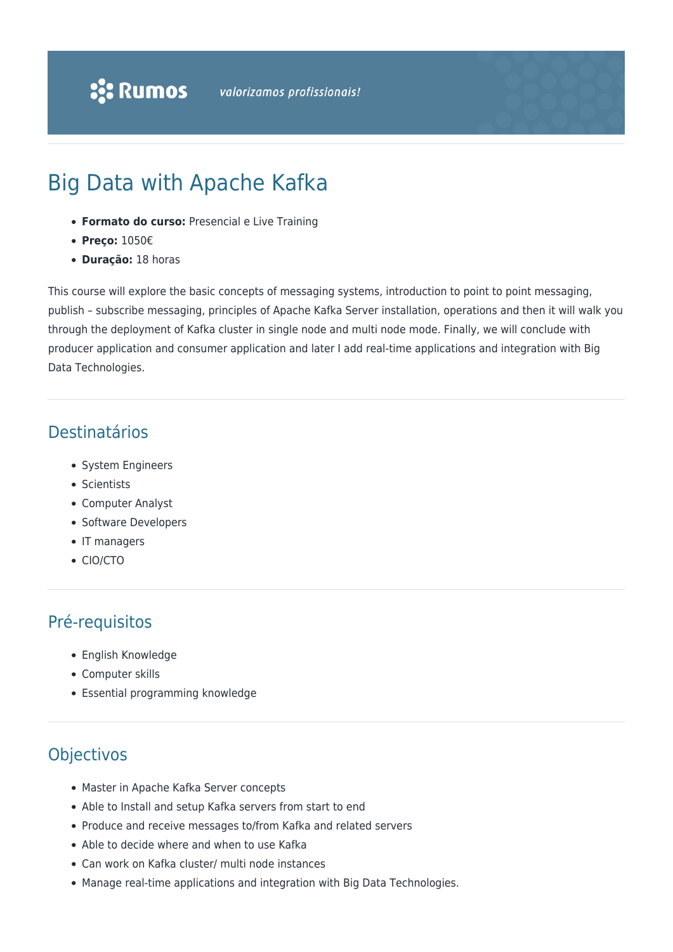# Big Data with Apache Kafka

- **Formato do curso:** Presencial e Live Training
- **Preço:** 1050€
- **Duração:** 18 horas

This course will explore the basic concepts of messaging systems, introduction to point to point messaging, publish – subscribe messaging, principles of Apache Kafka Server installation, operations and then it will walk you through the deployment of Kafka cluster in single node and multi node mode. Finally, we will conclude with producer application and consumer application and later I add real-time applications and integration with Big Data Technologies.

### Destinatários

- System Engineers
- Scientists
- Computer Analyst
- Software Developers
- IT managers
- CIO/CTO

#### Pré-requisitos

- English Knowledge
- Computer skills
- Essential programming knowledge

## **Objectivos**

- Master in Apache Kafka Server concepts
- Able to Install and setup Kafka servers from start to end
- Produce and receive messages to/from Kafka and related servers
- Able to decide where and when to use Kafka
- Can work on Kafka cluster/ multi node instances
- Manage real-time applications and integration with Big Data Technologies.